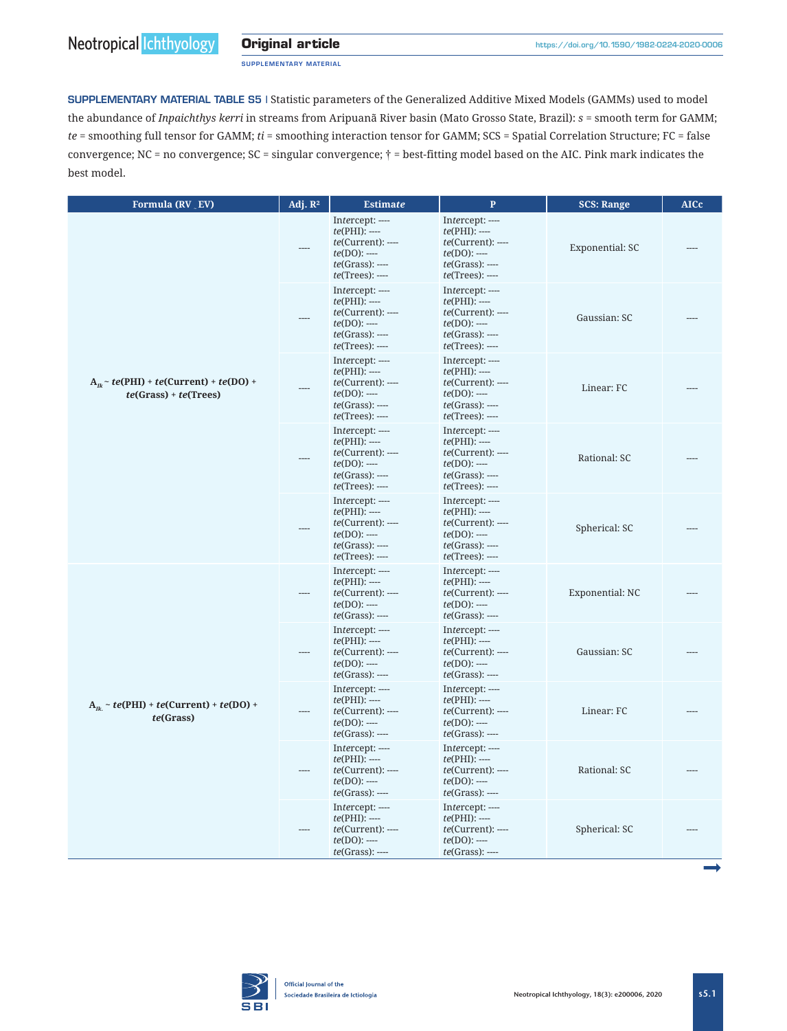SUPPLEMENTARY MATERIAL

SUPPLEMENTARY MATERIAL TABLE S5 | Statistic parameters of the Generalized Additive Mixed Models (GAMMs) used to model the abundance of *Inpaichthys kerri* in streams from Aripuanã River basin (Mato Grosso State, Brazil): *s* = smooth term for GAMM; *te* = smoothing full tensor for GAMM; *ti* = smoothing interaction tensor for GAMM; SCS = Spatial Correlation Structure; FC = false convergence; NC = no convergence;  $SC =$  singular convergence;  $\dagger$  = best-fitting model based on the AIC. Pink mark indicates the best model.

| Formula (RV EV)                                                        | Adj. $\mathbb{R}^2$ | <b>Estimate</b>                                                                                                         | $\mathbf{P}$                                                                                                                  | <b>SCS: Range</b> | <b>AICc</b> |
|------------------------------------------------------------------------|---------------------|-------------------------------------------------------------------------------------------------------------------------|-------------------------------------------------------------------------------------------------------------------------------|-------------------|-------------|
|                                                                        |                     | Intercept: ----<br>$te(PHI)$ : ----<br>$te(Current):$ ----<br>$te(DO)$ : ----<br>$te(Grass):$ ----<br>$te(Trees):$ ---- | Intercept: ----<br>$te(PHI)$ : ----<br>$te(Current):$ ----<br>$te(DO)$ : ----<br>$te(Grass):$ ----<br>$te(Trees):$ ----       | Exponential: SC   |             |
|                                                                        |                     | Intercept: ----<br>$te(PHI)$ : ----<br>$te(Current):$ ----<br>$te(DO)$ : ----<br>$te(Grass):$ ----<br>$te(Trees):$ ---- | Intercept: ----<br>$te(PHI):$ ----<br>$te(Current):$ ----<br>$te(DO)$ : ----<br>$te(Grass):$ ----<br>$te(Trees):$ ----        | Gaussian: SC      |             |
| $A_n \sim te(PHI) + te(Current) + te(DO) +$<br>$te(Grass) + te(Trees)$ |                     | Intercept: ----<br>$te(PHI):$ ----<br>$te(Current):$ ---<br>$te(DO)$ : ----<br>$te(Grass):$ ----<br>$te(Trees):$ ----   | Intercept: ----<br>$te(PHI)$ : ----<br>te(Current): ----<br>$te(DO)$ : ----<br>$te(Grass):$ ----<br>$te(Trees):$ ----         | Linear: FC        |             |
|                                                                        |                     | Intercept: ----<br>$te(PHI)$ : ----<br>$te(Current):$ ----<br>$te(DO)$ : ----<br>$te(Grass):$ ----<br>$te(Trees):$ ---- | Intercept: ----<br>$te(PHI)$ : ----<br>$te(Current):$ ----<br>$te(DO)$ : ----<br>$te(Grass):$ ----<br><i>te</i> (Trees): ---- | Rational: SC      |             |
|                                                                        |                     | Intercept: ----<br>$te(PHI):$ ----<br>$te(Current):$ ----<br>$te(DO)$ : ----<br>$te(Grass):$ ----<br>$te(Trees):$ ----  | Intercept: ----<br>$te(PHI)$ : ----<br>$te(Current):$ ----<br>$te(DO)$ : ----<br>$te(Grass):$ ----<br>$te(Trees):$ ----       | Spherical: SC     |             |
| $A_n \sim te(PHI) + te(Current) + te(DO) +$<br>te(Grass)               |                     | Intercept: ----<br>$te(PHI):$ ----<br>$te(Current):$ ---<br>$te(DO)$ : ----<br>$te(Grass):$ ----                        | Intercept: ----<br>$te(PHI)$ : ----<br>te(Current): ----<br>$te(DO)$ : ----<br>$te(Grass):$ ----                              | Exponential: NC   |             |
|                                                                        |                     | Intercept: ----<br>$te(PHI):$ ----<br>$te(Current):$ ---<br>$te(DO)$ : ----<br>$te(Grass):$ ----                        | Intercept: ----<br>$te(PHI)$ : ----<br>$te(Current):$ ----<br>$te(DO)$ : ----<br>$te(Grass):$ ----                            | Gaussian: SC      |             |
|                                                                        |                     | Intercept: ----<br>$te(PHI):$ ----<br>$te(Current):$ ---<br>$te(DO)$ : ----<br>$te(Grass):$ ----                        | Intercept: ----<br>$te(PHI)$ : ----<br>$te(Current):$ ----<br>$te(DO)$ : ----<br>$te(Grass):$ ----                            | Linear: FC        |             |
|                                                                        |                     | Intercept: ----<br>$te(PHI):$ ----<br>$te(Current):$ ----<br>$te(DO)$ : ----<br>$te(Grass):$ ----                       | Intercept: ----<br>$te(PHI)$ : ----<br>$te(Current):$ ----<br>$te(DO)$ : ----<br>$te(Grass):$ ----                            | Rational: SC      |             |
|                                                                        |                     | Intercept: ----<br>$te(PHI)$ : ----<br>$te(Current):$ ----<br>$te(DO)$ : ----<br>$te(Grass):$ ----                      | Intercept: ----<br>$te(PHI)$ : ----<br>te(Current): ----<br>$te(DO)$ : ----<br>$te(Grass):$ ----                              | Spherical: SC     |             |
|                                                                        |                     |                                                                                                                         |                                                                                                                               |                   |             |

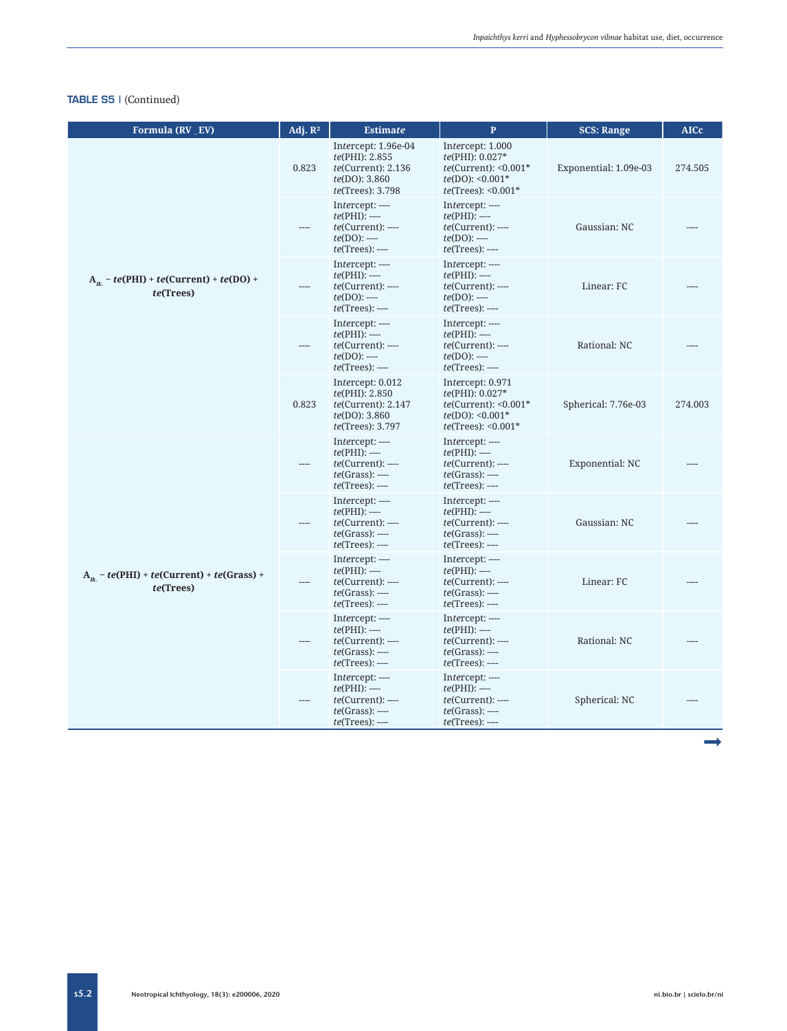| Formula (RV EV)                                             | Adj. $\mathbb{R}^2$ | <b>Estimate</b>                                                                                       | $\mathbf{P}$                                                                                                 | <b>SCS: Range</b>     | <b>AICc</b> |
|-------------------------------------------------------------|---------------------|-------------------------------------------------------------------------------------------------------|--------------------------------------------------------------------------------------------------------------|-----------------------|-------------|
| $A_n \sim te(PHI) + te(Current) + te(DO) +$<br>te(Trees)    | 0.823               | Intercept: 1.96e-04<br>te(PHI): 2.855<br>te(Current): 2.136<br>te(DO): 3.860<br>te(Trees): 3.798      | Intercept: 1.000<br>te(PHI): 0.027*<br>$te(Current): <0.001*$<br>$te(DO): 50.001*$<br>$te(Trees): <0.001*$   | Exponential: 1.09e-03 | 274.505     |
|                                                             |                     | Intercept: ----<br>$te(PHI):$ ----<br>$te(Current):---$<br>$te(DO)$ : ----<br>$te(Trees):$ ----       | Intercept: ----<br>$te(PHI):$ ----<br>$te(Current):---$<br>$te(DO)$ : ----<br>$te(Trees):$ ----              | Gaussian: NC          |             |
|                                                             |                     | Intercept: ----<br>$te(PHI):$ ----<br>$te(Current):---$<br>$te(DO)$ : ----<br>$te(Trees):$ ----       | Intercept: ----<br>$te(PHI):$ ----<br>$te(Current):---$<br>$te(DO)$ : ----<br>$te(Trees):$ ----              | Linear: FC            |             |
|                                                             |                     | Intercept: ----<br>$te(PHI):$ ----<br>$te(Current):---$<br>$te(DO)$ : ----<br>$te(Trees):$ ----       | Intercept: ----<br>$te(PHI):$ ----<br>$te(Current):$ ----<br>$te(DO)$ : ----<br>$te(Trees):$ ----            | Rational: NC          |             |
|                                                             | 0.823               | Intercept: 0.012<br>te(PHI): 2.850<br>te(Current): 2.147<br>te(DO): 3.860<br><i>te</i> (Trees): 3.797 | Intercept: 0.971<br>te(PHI): 0.027*<br>$te$ (Current): < $0.001*$<br>$te(DO): 0.001*$<br>$te(Trees): 0.001*$ | Spherical: 7.76e-03   | 274.003     |
| $A_n \sim te(PHI) + te(Current) + te(Grass) +$<br>te(Trees) |                     | Intercept: ----<br>$te(PHI):$ ----<br>$te(Current):---$<br>$te(Grass):$ ----<br>$te(Trees):$ ----     | Intercept: ----<br>$te(PHI):$ ----<br>$te(Current):$ ----<br>$te(Grass):$ ----<br>$te(Trees):$ ----          | Exponential: NC       |             |
|                                                             |                     | Intercept: ----<br>$te(PHI):$ ----<br>$te(Current):---$<br>$te(Grass):$ ----<br>$te(Trees):$ ----     | Intercept: ----<br>$te(PHI):$ ----<br>$te(Current):---$<br>$te(Grass):$ ----<br>$te(Trees):$ ----            | Gaussian: NC          |             |
|                                                             |                     | Intercept: ----<br>$te(PHI):$ ----<br>$te(Current):---$<br>$te(Grass):$ ----<br>$te(Trees):$ ----     | Intercept: ----<br>$te(PHI):$ ----<br>$te(Current):---$<br>$te(Grass):$ ----<br>$te(Trees):$ ----            | Linear: FC            |             |
|                                                             |                     | Intercept: ----<br>$te(PHI):$ ----<br>$te(Current):---$<br>$te(Grass):$ ----<br>$te(Trees):$ ----     | Intercept: ----<br>$te(PHI):$ ----<br>$te(Current):---$<br>$te(Grass):$ ----<br>$te(Trees):$ ----            | Rational: NC          |             |
|                                                             |                     | Intercept: ----<br>$te(PHI):$ ----<br>$te(Current):---$<br>$te(Grass):$ ----<br>$te(Trees):$ ----     | Intercept: ----<br>$te(PHI):$ ----<br>$te(Current):---$<br>$te(Grass):$ ----<br>$te(Trees):$ ----            | Spherical: NC         |             |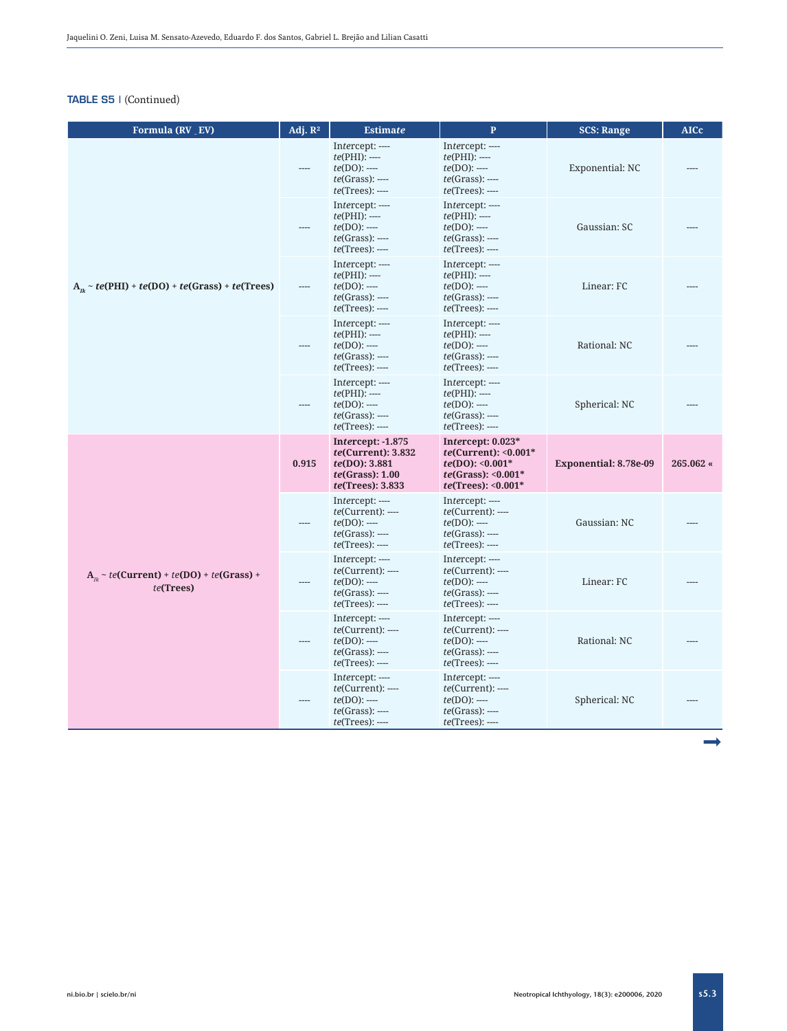| Formula (RV _ EV)                                          | Adj. $\mathbb{R}^2$ | <b>Estimate</b>                                                                                                | $\mathbf{P}$                                                                                                    | <b>SCS: Range</b>     | <b>AICc</b> |
|------------------------------------------------------------|---------------------|----------------------------------------------------------------------------------------------------------------|-----------------------------------------------------------------------------------------------------------------|-----------------------|-------------|
| $A_n \sim te(PHI) + te(DO) + te(Grass) + te(Trees)$        |                     | Intercept: ----<br>$te(PHI):$ ----<br>$te(DO)$ : ----<br>$te(Grass):$ ----<br>$te(Trees):$ ----                | Intercept: ----<br>$te(PHI):$ ----<br>$te(DO)$ : ----<br>$te(Grass):$ ----<br>$te(Trees):$ ----                 | Exponential: NC       |             |
|                                                            |                     | Intercept: ----<br>$te(PHI):$ ----<br>$te(DO)$ : ----<br>$te(Grass):$ ----<br>$te(Trees):$ ----                | Intercept: ----<br>$te(PHI):$ ----<br>$te(DO)$ : ----<br>$te(Grass):$ ----<br>$te(Trees):$ ----                 | Gaussian: SC          |             |
|                                                            |                     | Intercept: ----<br>$te(PHI):$ ----<br>$te(DO)$ : ----<br>$te(Grass):$ ----<br>$te(Trees):$ ----                | Intercept: ----<br>$te(PHI):$ ----<br>$te(DO)$ : ----<br>$te(Grass):$ ----<br>$te(Trees):$ ----                 | Linear: FC            |             |
|                                                            |                     | Intercept: ----<br>$te(PHI):$ ----<br>$te(DO)$ : ----<br>$te(Grass):$ ----<br>$te(Trees):$ ----                | Intercept: ----<br>$te(PHI):$ ----<br>$te(DO)$ : ----<br>$te(Grass):$ ----<br>$te(Trees):$ ----                 | Rational: NC          |             |
|                                                            |                     | Intercept: ----<br>$te(PHI):$ ----<br>$te(DO)$ : ----<br>$te(Grass):$ ----<br>$te(Trees):$ ----                | Intercept: ----<br>$te(PHI):$ ----<br>$te(DO)$ : ----<br>$te(Grass):$ ----<br>$te(Trees):$ ----                 | Spherical: NC         |             |
|                                                            | 0.915               | <b>Intercept: -1.875</b><br>te(Current): 3.832<br>te(DO): 3.881<br>te(Grass): 1.00<br><i>te</i> (Trees): 3.833 | Intercept: $0.023*$<br>$te(Current): <0.001*$<br>$te(DO): 0.001*$<br>$te(Grass): 0.001*$<br>$te(Trees): 0.001*$ | Exponential: 8.78e-09 | 265.062 «   |
|                                                            |                     | Intercept: ----<br>$te(Current):---$<br>$te(DO)$ : ----<br>$te(Grass):$ ----<br>$te(Trees):$ ----              | Intercept: ----<br>$te(Current):---$<br>$te(DO)$ : ----<br>$te(Grass):$ ----<br>$te(Trees):$ ----               | Gaussian: NC          |             |
| $A_n \sim te(Current) + te(DO) + te(Grass) +$<br>te(Trees) |                     | Intercept: ----<br>$te(Current):$ ----<br>$te(DO)$ : ----<br>$te(Grass):$ ----<br>$te(Trees):$ ----            | Intercept: ----<br>$te(Current):$ ----<br>$te(DO)$ : ----<br>$te(Grass):$ ----<br>$te(Trees):$ ----             | Linear: FC            |             |
|                                                            |                     | Intercept: ----<br>$te(Current):$ ----<br>$te(DO)$ : ----<br>$te(Grass):$ ----<br>$te(Trees):$ ----            | Intercept: ----<br>$te(Current):---$<br>$te(DO)$ : ----<br>$te(Grass):$ ----<br>$te(Trees):$ ----               | Rational: NC          |             |
|                                                            |                     | Intercept: ----<br>$te(Current):---$<br>$te(DO)$ : ----<br>$te(Grass):$ ----<br>$te(Trees):$ ----              | Intercept: ----<br>$te(Current):---$<br>$te(DO)$ : ----<br>$te(Grass):$ ----<br>$te(Trees):$ ----               | Spherical: NC         |             |

ª

s5.3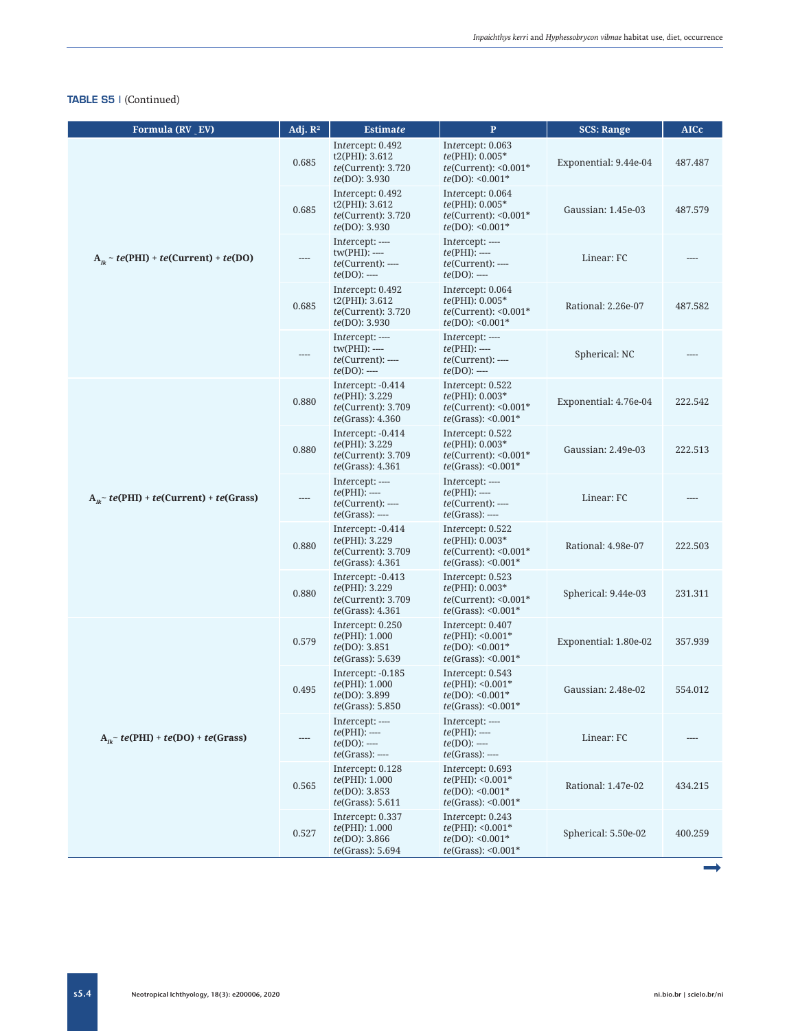| Formula (RV EV)                                 | Adj. $\mathbb{R}^2$ | <b>Estimate</b>                                                                               | $\mathbf{P}$                                                                               | <b>SCS: Range</b>     | <b>AICc</b> |
|-------------------------------------------------|---------------------|-----------------------------------------------------------------------------------------------|--------------------------------------------------------------------------------------------|-----------------------|-------------|
| $A_n \sim te(PHI) + te(Current) + te(DO)$       | 0.685               | Intercept: 0.492<br>t2(PHI): 3.612<br><i>te</i> (Current): 3.720<br><i>te</i> (DO): 3.930     | Intercept: 0.063<br>te(PHI): 0.005*<br>$te$ (Current): < $0.001*$<br>$te(DO): 0.001*$      | Exponential: 9.44e-04 | 487.487     |
|                                                 | 0.685               | Intercept: 0.492<br>t2(PHI): 3.612<br><i>te</i> (Current): 3.720<br><i>te</i> (DO): 3.930     | Intercept: 0.064<br>te(PHI): 0.005*<br>$te$ (Current): < $0.001*$<br>$te(DO): 0.001*$      | Gaussian: 1.45e-03    | 487.579     |
|                                                 |                     | Intercept: ----<br>$tw(PHI): \cdots$<br>$te(Current):---$<br>$te(DO)$ : ----                  | Intercept: ----<br>$te(PHI):$ ----<br><i>te</i> (Current): ----<br>$te(DO):$ ----          | Linear: FC            |             |
|                                                 | 0.685               | Intercept: 0.492<br>t2(PHI): 3.612<br><i>te</i> (Current): 3.720<br>te(DO): 3.930             | Intercept: 0.064<br>te(PHI): 0.005*<br>$te$ (Current): < $0.001*$<br>$te(DO): 0.001*$      | Rational: 2.26e-07    | 487.582     |
|                                                 |                     | Intercept: ----<br>$tw(PHI): ---$<br>$te(Current):---$<br>$te(DO)$ : ----                     | Intercept: ----<br>$te(PHI):$ ----<br>$te(Current):---$<br>$te(DO)$ : ----                 | Spherical: NC         |             |
| $A_n$ + $te(PHI)$ + $te(Current)$ + $te(Grass)$ | 0.880               | Intercept: -0.414<br>te(PHI): 3.229<br><i>te</i> (Current): 3.709<br>te(Grass): 4.360         | Intercept: 0.522<br>$te(PHI): 0.003*$<br>$te$ (Current): < $0.001*$<br>$te(Grass): 0.001*$ | Exponential: 4.76e-04 | 222.542     |
|                                                 | 0.880               | Intercept: -0.414<br><i>te</i> (PHI): 3.229<br><i>te</i> (Current): 3.709<br>te(Grass): 4.361 | Intercept: 0.522<br>te(PHI): 0.003*<br>$te$ (Current): < $0.001*$<br>$te(Grass): 0.001*$   | Gaussian: 2.49e-03    | 222.513     |
|                                                 |                     | Intercept: ----<br>$te(PHI):$ ----<br>$te(Current):$ ----<br>$te(Grass):$ ----                | Intercept: ----<br>$te(PHI):$ ----<br>$te(Current):---$<br>$te(Grass):$ ----               | Linear: FC            |             |
|                                                 | 0.880               | Intercept: -0.414<br><i>te</i> (PHI): 3.229<br><i>te</i> (Current): 3.709<br>te(Grass): 4.361 | Intercept: 0.522<br>te(PHI): 0.003*<br>$te$ (Current): < $0.001*$<br>$te(Grass): 0.001*$   | Rational: 4.98e-07    | 222.503     |
|                                                 | 0.880               | Intercept: -0.413<br>te(PHI): 3.229<br><i>te</i> (Current): 3.709<br>te(Grass): 4.361         | Intercept: 0.523<br>te(PHI): 0.003*<br>$te$ (Current): <0.001 $*$<br>$te(Grass): 0.001*$   | Spherical: 9.44e-03   | 231.311     |
|                                                 | 0.579               | Intercept: 0.250<br>te(PHI): 1.000<br><i>te</i> (DO): 3.851<br>te(Grass): 5.639               | Intercept: 0.407<br>$te(PHI): <0.001*$<br>$te(DO): <0.001*$<br>$te(Grass): 0.001*$         | Exponential: 1.80e-02 | 357.939     |
|                                                 | 0.495               | Intercept: -0.185<br>te(PHI): 1.000<br>te(DO): 3.899<br>te(Grass): 5.850                      | Intercept: 0.543<br>$te(PHI): <0.001*$<br>$te(DO): 0.001*$<br>$te(Grass): <0.001*$         | Gaussian: 2.48e-02    | 554.012     |
| $A_n$ + te(PHI) + te(DO) + te(Grass)            |                     | Intercept: ----<br>$te(PHI):$ ----<br>$te(DO)$ : ----<br>$te(Grass):$ ----                    | Intercept: ----<br>$te(PHI):$ ----<br>$te(DO)$ : ----<br>$te(Grass):$ ----                 | Linear: FC            |             |
|                                                 | 0.565               | Intercept: 0.128<br>te(PHI): 1.000<br>te(DO): 3.853<br>te(Grass): 5.611                       | Intercept: 0.693<br>$te(PHI): <0.001*$<br>$te(DO): 0.001*$<br>$te(Grass): 0.001*$          | Rational: 1.47e-02    | 434.215     |
|                                                 | 0.527               | Intercept: 0.337<br>te(PHI): 1.000<br>te(DO): 3.866<br>te(Grass): 5.694                       | Intercept: 0.243<br>$te(PHI): <0.001*$<br>$te(DO): 0.001*$<br>$te(Grass): 0.001*$          | Spherical: 5.50e-02   | 400.259     |

s5.4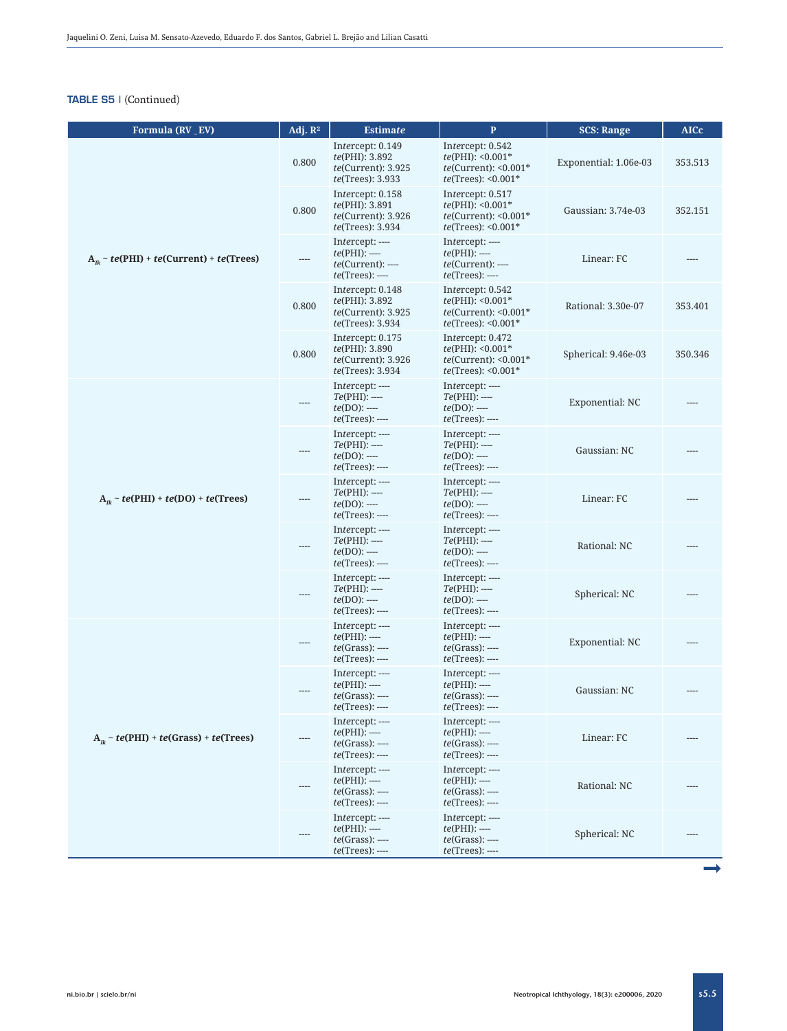| Formula (RV _ EV)                            | $\overline{Adj}. R^2$ | <b>Estimate</b>                                                                                 | $\mathbf{P}$                                                                                 | <b>SCS: Range</b>     | <b>AICc</b> |
|----------------------------------------------|-----------------------|-------------------------------------------------------------------------------------------------|----------------------------------------------------------------------------------------------|-----------------------|-------------|
| $A_n \sim te(PHI) + te(Current) + te(Trees)$ | 0.800                 | Intercept: 0.149<br>te(PHI): 3.892<br>$te$ (Current): 3.925<br><i>te</i> (Trees): 3.933         | Intercept: 0.542<br>$te(PHI): <0.001*$<br>$te$ (Current): < $0.001*$<br>$te(Trees): <0.001*$ | Exponential: 1.06e-03 | 353.513     |
|                                              | 0.800                 | Intercept: 0.158<br>te(PHI): 3.891<br>te(Current): 3.926<br><i>te</i> (Trees): 3.934            | Intercept: 0.517<br>$te(PHI): <0.001*$<br>$te(Current): <0.001*$<br>$te(Trees): <0.001*$     | Gaussian: 3.74e-03    | 352.151     |
|                                              |                       | Intercept: ----<br>$te(PHI):$ ----<br>$te(Current):---$<br>$te(Trees):$ ----                    | Intercept: ----<br>$te(PHI):$ ----<br><i>te</i> (Current): ----<br>$te(Trees):$ ----         | Linear: FC            |             |
|                                              | 0.800                 | Intercept: 0.148<br><i>te</i> (PHI): 3.892<br>$te$ (Current): 3.925<br><i>te</i> (Trees): 3.934 | Intercept: 0.542<br>$te(PHI): <0.001*$<br>$te$ (Current): < $0.001*$<br>$te(Trees): <0.001*$ | Rational: 3.30e-07    | 353.401     |
|                                              | 0.800                 | Intercept: 0.175<br><i>te</i> (PHI): 3.890<br>$te$ (Current): 3.926<br><i>te</i> (Trees): 3.934 | Intercept: 0.472<br>$te(PHI): <0.001*$<br>$te$ (Current): < $0.001*$<br>$te(Trees): <0.001*$ | Spherical: 9.46e-03   | 350.346     |
| $A_n \sim te(PHI) + te(DO) + te(Trees)$      |                       | Intercept: ----<br>$Te(PHI):$ ----<br>$te(DO)$ : ----<br>$te(Trees):$ ----                      | Intercept: ----<br>$Te(PHI):$ ----<br>$te(DO)$ : ----<br><i>te</i> (Trees): ----             | Exponential: NC       |             |
|                                              |                       | Intercept: ----<br>$Te(PHI):$ ----<br>$te(DO):$ ----<br>$te(Trees):$ ----                       | Intercept: ----<br>$Te(PHI):$ ----<br>$te(DO)$ : ----<br>$te(Trees):$ ----                   | Gaussian: NC          |             |
|                                              |                       | Intercept: ----<br>$Te(PHI):$ ----<br>$te(DO)$ : ----<br>$te(Trees):$ ----                      | Intercept: ----<br>$Te(PHI):$ ----<br>$te(DO)$ : ----<br>$te(Trees):$ ----                   | Linear: FC            |             |
|                                              |                       | Intercept: ----<br>$Te(PHI):$ ----<br>$te(DO)$ : ----<br>$te(Trees):$ ----                      | Intercept: ----<br>$Te(PHI):$ ----<br>$te(DO)$ : ----<br>$te(Trees):$ ----                   | Rational: NC          |             |
|                                              |                       | Intercept: ----<br>$Te(PHI):$ ----<br>$te(DO)$ : ----<br>$te(Trees):$ ----                      | Intercept: ----<br>$Te(PHI):$ ----<br>$te(DO)$ : ----<br>$te(Trees):$ ----                   | Spherical: NC         |             |
| $A_n \sim te(PHI) + te(Grass) + te(Trees)$   | $---$                 | Intercept: ----<br>$te(PHI):$ ----<br>$te(Grass):$ ----<br>$te(Trees):$ ----                    | Intercept: ----<br>$te(PHI):$ ----<br>$te(Grass):$ ----<br>$te(Trees):$ ----                 | Exponential: NC       |             |
|                                              |                       | Intercept: ----<br>$te(PHI):$ ----<br>$te(Grass):$ ----<br>$te(Trees):$ ----                    | Intercept: ----<br>$te(PHI):$ ----<br>$te(Grass):$ ----<br><i>te</i> (Trees): ----           | Gaussian: NC          |             |
|                                              |                       | Intercept: ----<br>$te(PHI):$ ----<br>$te(Grass):$ ----<br>$te(Trees):$ ----                    | Intercept: ----<br>$te(PHI):$ ----<br>$te(Grass):$ ----<br>$te(Trees):$ ----                 | Linear: FC            |             |
|                                              |                       | Intercept: ----<br>$te(PHI):$ ----<br>$te(Grass):$ ----<br>$te(Trees):$ ----                    | Intercept: ----<br>$te(PHI):$ ----<br>$te(Grass):$ ----<br>$te(Trees):$ ----                 | Rational: NC          |             |
|                                              |                       | Intercept: ----<br>$te(PHI):$ ----<br>$te(Grass):$ ----<br>$te(Trees):$ ----                    | Intercept: ----<br>$te(PHI):$ ----<br>$te(Grass):$ ----<br>$te(Trees):$ ----                 | Spherical: NC         |             |
|                                              |                       |                                                                                                 |                                                                                              |                       |             |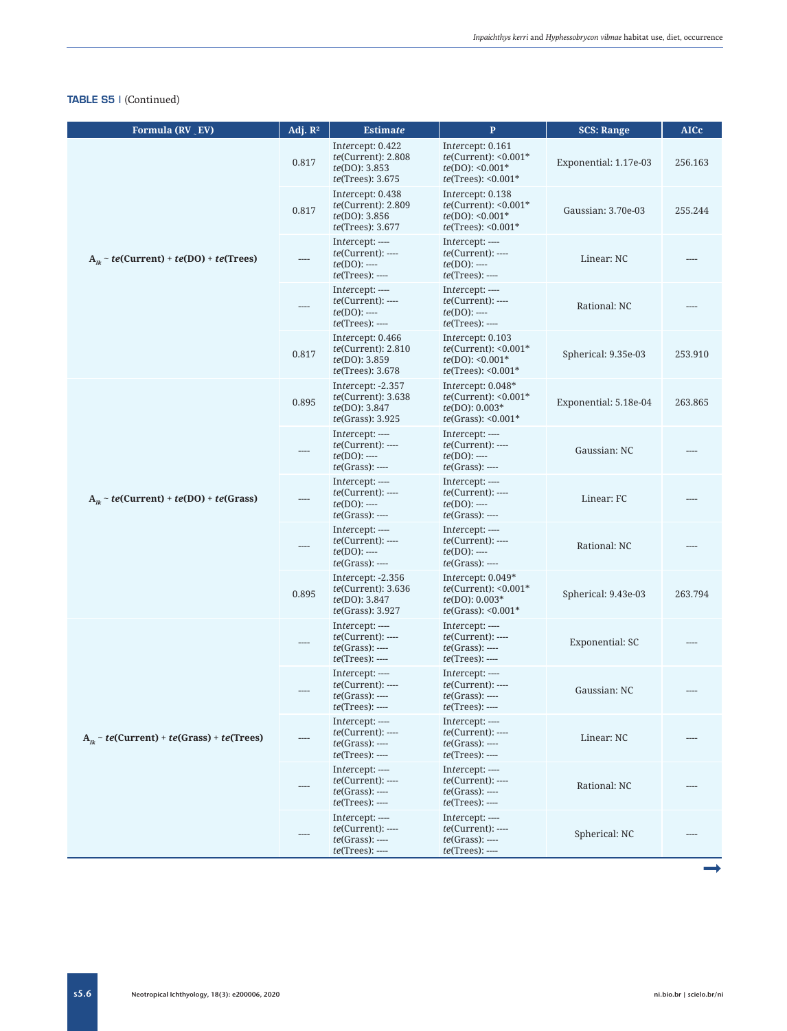| Formula (RV _ EV)                              | Adj. $\mathbb{R}^2$ | <b>Estimate</b>                                                                                  | $\mathbf{P}$                                                                                 | <b>SCS: Range</b>     | <b>AICc</b> |
|------------------------------------------------|---------------------|--------------------------------------------------------------------------------------------------|----------------------------------------------------------------------------------------------|-----------------------|-------------|
| $A_n \sim te(Current) + te(DO) + te(Trees)$    | 0.817               | Intercept: 0.422<br>te(Current): 2.808<br><i>te</i> (DO): 3.853<br><i>te</i> (Trees): 3.675      | Intercept: 0.161<br>$te$ (Current): < $0.001*$<br>$te(DO): 0.001*$<br>$te(Trees): <0.001*$   | Exponential: 1.17e-03 | 256.163     |
|                                                | 0.817               | Intercept: 0.438<br>$te$ (Current): $2.809$<br><i>te</i> (DO): 3.856<br><i>te</i> (Trees): 3.677 | Intercept: 0.138<br>$te$ (Current): < $0.001*$<br>$te(DO): 0.001*$<br>$te(Trees): <0.001*$   | Gaussian: 3.70e-03    | 255.244     |
|                                                |                     | Intercept: ----<br>$te(Current):---$<br>$te(DO)$ : ----<br>$te(Trees):$ ----                     | Intercept: ----<br>$te(Current):---$<br>$te(DO)$ : ----<br>$te(Trees):$ ----                 | Linear: NC            |             |
|                                                |                     | Intercept: ----<br>$te(Current):---$<br>$te(DO)$ : ----<br>$te(Trees):$ ----                     | Intercept: ----<br>$te(Current):$ ----<br>$te(DO)$ : ----<br>$te(Trees):$ ----               | Rational: NC          |             |
|                                                | 0.817               | Intercept: 0.466<br>$te$ (Current): $2.810$<br><i>te</i> (DO): 3.859<br><i>te</i> (Trees): 3.678 | Intercept: 0.103<br>$te$ (Current): < $0.001*$<br>$te(DO): 0.001*$<br>$te(Trees): <0.001*$   | Spherical: 9.35e-03   | 253.910     |
| $A_{ik} \sim te(Current) + te(DO) + te(Grass)$ | 0.895               | Intercept: -2.357<br>te(Current): 3.638<br><i>te</i> (DO): 3.847<br>te(Grass): 3.925             | Intercept: 0.048*<br>$te$ (Current): < $0.001*$<br>$te(DO): 0.003*$<br>$te(Grass): 0.001*$   | Exponential: 5.18e-04 | 263.865     |
|                                                | ----                | Intercept: ----<br>$te(Current):---$<br>$te(DO)$ : ----<br>$te(Grass):$ ----                     | Intercept: ----<br>$te(Current):---$<br>$te(DO)$ : ----<br>$te(Grass):$ ----                 | Gaussian: NC          |             |
|                                                |                     | Intercept: ----<br>$te(Current):---$<br>$te(DO)$ : ----<br>$te(Grass):$ ----                     | Intercept: ----<br>$te(Current):---$<br>$te(DO)$ : ----<br>$te(Grass):$ ----                 | Linear: FC            |             |
|                                                |                     | Intercept: ----<br>$te(Current):---$<br>$te(DO)$ : ----<br>$te(Grass):$ ----                     | Intercept: ----<br>$te(Current):---$<br>$te(DO)$ : ----<br>$te(Grass):$ ----                 | Rational: NC          |             |
|                                                | 0.895               | Intercept: $-2.356$<br>$te$ (Current): 3.636<br><i>te</i> (DO): 3.847<br>te(Grass): 3.927        | Intercept: $0.049*$<br>$te$ (Current): < $0.001*$<br>$te(DO): 0.003*$<br>$te(Grass): 0.001*$ | Spherical: 9.43e-03   | 263.794     |
|                                                |                     | Intercept: ----<br>$te(Current):---$<br>$te(Grass):$ ----<br>$te(Trees):$ ----                   | Intercept: ----<br>$te(Current):---$<br>$te(Grass):$ ----<br>$te(Trees):$ ----               | Exponential: SC       |             |
|                                                |                     | Intercept: ----<br>$te(Current):$ ----<br>$te(Grass):$ ----<br><i>te</i> (Trees): ----           | Intercept: ----<br>$te(Current):$ ----<br>$te(Grass):$ ----<br><i>te</i> (Trees): ----       | Gaussian: NC          |             |
| $A_n \sim te(Current) + te(Grass) + te(Trees)$ |                     | Intercept: ----<br>$te(Current):$ ----<br>$te(Grass):$ ----<br><i>te</i> (Trees): ----           | Intercept: ----<br>$te(Current):$ ----<br>$te(Grass):$ ----<br>$te(Trees):$ ----             | Linear: NC            |             |
|                                                |                     | Intercept: ----<br>$te(Current):$ ----<br>$te(Grass):$ ----<br>$te(Trees):$ ----                 | Intercept: ----<br>$te(Current):---$<br>$te(Grass):$ ----<br>$te(Trees):$ ----               | Rational: NC          |             |
|                                                |                     | Intercept: ----<br>$te(Current):$ ----<br>$te(Grass):$ ----<br>$te(Trees):$ ----                 | Intercept: ----<br>$te(Current):---$<br>$te(Grass):$ ----<br>$te(Trees):$ ----               | Spherical: NC         |             |

s5.6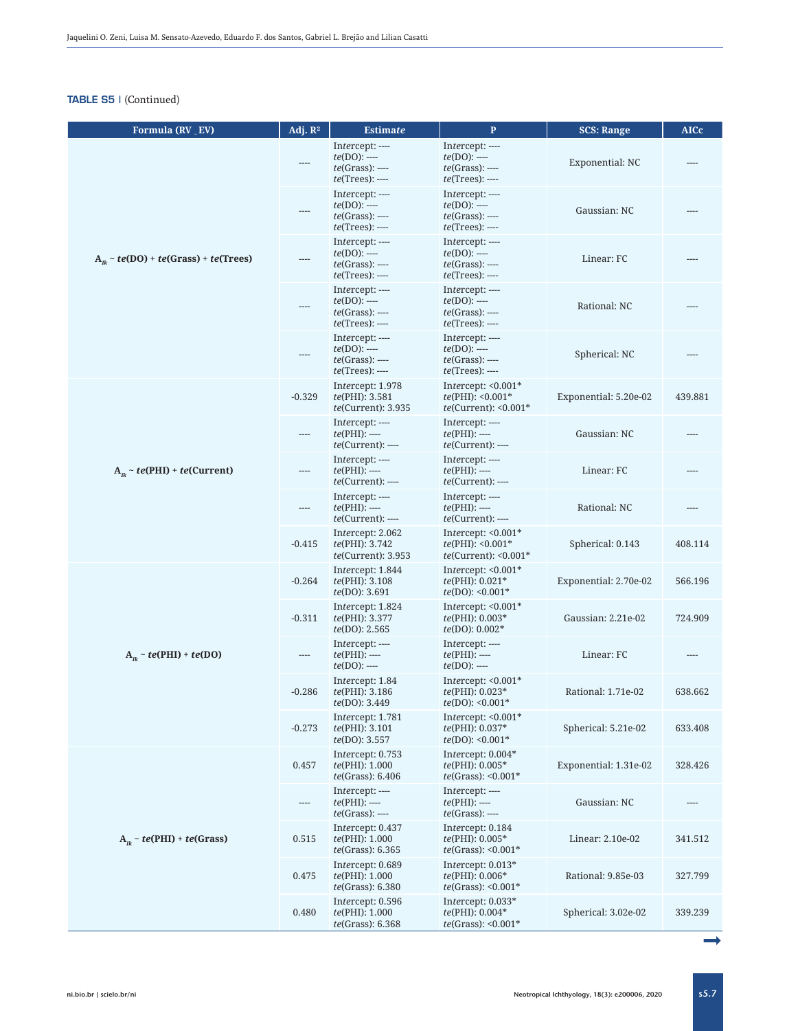| Formula (RV _ EV)                         | Adj. $\mathbb{R}^2$ | <b>Estimate</b>                                                              | $\mathbf{P}$                                                                          | <b>SCS: Range</b>     | <b>AICc</b> |
|-------------------------------------------|---------------------|------------------------------------------------------------------------------|---------------------------------------------------------------------------------------|-----------------------|-------------|
|                                           |                     | Intercept: ----<br>$te(DO)$ : ----<br>$te(Grass):$ ----<br>$te(Trees):$ ---- | Intercept: ----<br>$te(DO)$ : ----<br>$te(Grass):$ ----<br>$te(Trees):$ ----          | Exponential: NC       |             |
| $A_n \sim te(DO) + te(Grass) + te(Trees)$ |                     | Intercept: ----<br>$te(DO)$ : ----<br>$te(Grass):$ ----<br>$te(Trees):$ ---- | Intercept: ----<br>$te(DO)$ : ----<br>$te(Grass):$ ----<br><i>te</i> (Trees): ----    | Gaussian: NC          |             |
|                                           |                     | Intercept: ----<br>$te(DO)$ : ----<br>$te(Grass):$ ----<br>$te(Trees):$ ---- | Intercept: ----<br>$te(DO):$ ----<br>$te(Grass):$ ----<br><i>te</i> (Trees): ----     | Linear: FC            |             |
|                                           |                     | Intercept: ----<br>$te(DO)$ : ----<br>$te(Grass):$ ----<br>$te(Trees):$ ---- | Intercept: ----<br>$te(DO)$ : ----<br>$te(Grass):$ ----<br><i>te</i> (Trees): ----    | Rational: NC          |             |
|                                           |                     | Intercept: ----<br>$te(DO):$ ----<br>$te(Grass):$ ----<br>$te(Trees):$ ----  | Intercept: ----<br>$te(DO)$ : ----<br>$te(Grass):$ ----<br>$te(Trees):$ ----          | Spherical: NC         |             |
| $A_n \sim te(PHI) + te(Current)$          | $-0.329$            | Intercept: 1.978<br><i>te</i> (PHI): 3.581<br>te(Current): 3.935             | Intercept: $< 0.001$ <sup>*</sup><br>$te(PHI): <0.001*$<br>$te$ (Current): < $0.001*$ | Exponential: 5.20e-02 | 439.881     |
|                                           | ----                | Intercept: ----<br>$te(PHI):$ ----<br>$te(Current):---$                      | Intercept: ----<br>$te(PHI):$ ----<br>$te(Current):---$                               | Gaussian: NC          |             |
|                                           | ----                | Intercept: ----<br>$te(PHI):$ ----<br><i>te</i> (Current): ----              | Intercept: ----<br>$te(PHI):$ ----<br><i>te</i> (Current): ----                       | Linear: FC            |             |
|                                           | $\cdots$            | Intercept: ----<br>$te(PHI):$ ----<br>$te(Current):---$                      | Intercept: ----<br>$te(PHI):$ ----<br>$te(Current):---$                               | Rational: NC          | ----        |
|                                           | $-0.415$            | Intercept: 2.062<br><i>te</i> (PHI): 3.742<br>$te$ (Current): 3.953          | Intercept: $<0.001*$<br>$te(PHI): <0.001*$<br>$te(Current): <0.001*$                  | Spherical: 0.143      | 408.114     |
|                                           | $-0.264$            | Intercept: 1.844<br><i>te</i> (PHI): 3.108<br><i>te</i> (DO): 3.691          | Intercept: $< 0.001$ <sup>*</sup><br>$te(PHI): 0.021*$<br>$te(DO): 0.001*$            | Exponential: 2.70e-02 | 566.196     |
|                                           | $-0.311$            | Intercept: 1.824<br><i>te</i> (PHI): 3.377<br>te(DO): 2.565                  | Intercept: $< 0.001$ <sup>*</sup><br>te(PHI): 0.003*<br>$te(DO): 0.002*$              | Gaussian: 2.21e-02    | 724.909     |
| $A_n \sim te(PHI) + te(DO)$               | ----                | Intercept: ----<br>$te(PHI):$ ----<br>$te(DO):$ ----                         | Intercept: ----<br>$te(PHI):$ ----<br>$te(DO):$ ----                                  | Linear: FC            |             |
|                                           | $-0.286$            | Intercept: 1.84<br>te(PHI): 3.186<br>te(DO): 3.449                           | Intercept: $< 0.001$ <sup>*</sup><br>te(PHI): 0.023*<br>$te(DO): 0.001*$              | Rational: 1.71e-02    | 638.662     |
|                                           | $-0.273$            | Intercept: 1.781<br><i>te</i> (PHI): 3.101<br>te(DO): 3.557                  | Intercept: $<0.001*$<br>te(PHI): 0.037*<br>$te(DO): 50.001*$                          | Spherical: 5.21e-02   | 633.408     |
|                                           | 0.457               | Intercept: 0.753<br>te(PHI): 1.000<br>te(Grass): 6.406                       | Intercept: $0.004*$<br>te(PHI): 0.005*<br>$te(Grass): 0.001*$                         | Exponential: 1.31e-02 | 328.426     |
|                                           | ----                | Intercept: ----<br>$te(PHI):$ ----<br>$te(Grass):$ ----                      | Intercept: ----<br>$te(PHI):$ ----<br>$te(Grass):$ ----                               | Gaussian: NC          |             |
| $A_n \sim te(PHI) + te(Grass)$            | 0.515               | Intercept: 0.437<br>te(PHI): 1.000<br>te(Grass): 6.365                       | Intercept: 0.184<br>$te(PHI): 0.005*$<br><i>te</i> (Grass): < $0.001*$                | Linear: 2.10e-02      | 341.512     |
|                                           | 0.475               | Intercept: 0.689<br>te(PHI): 1.000<br>te(Grass): 6.380                       | Intercept: $0.013*$<br>te(PHI): 0.006*<br><i>te</i> (Grass): < $0.001*$               | Rational: 9.85e-03    | 327.799     |
|                                           | 0.480               | Intercept: 0.596<br><i>te</i> (PHI): 1.000<br>te(Grass): 6.368               | Intercept: $0.033*$<br>$te(PHI): 0.004*$<br>$te(Grass): <0.001*$                      | Spherical: 3.02e-02   | 339.239     |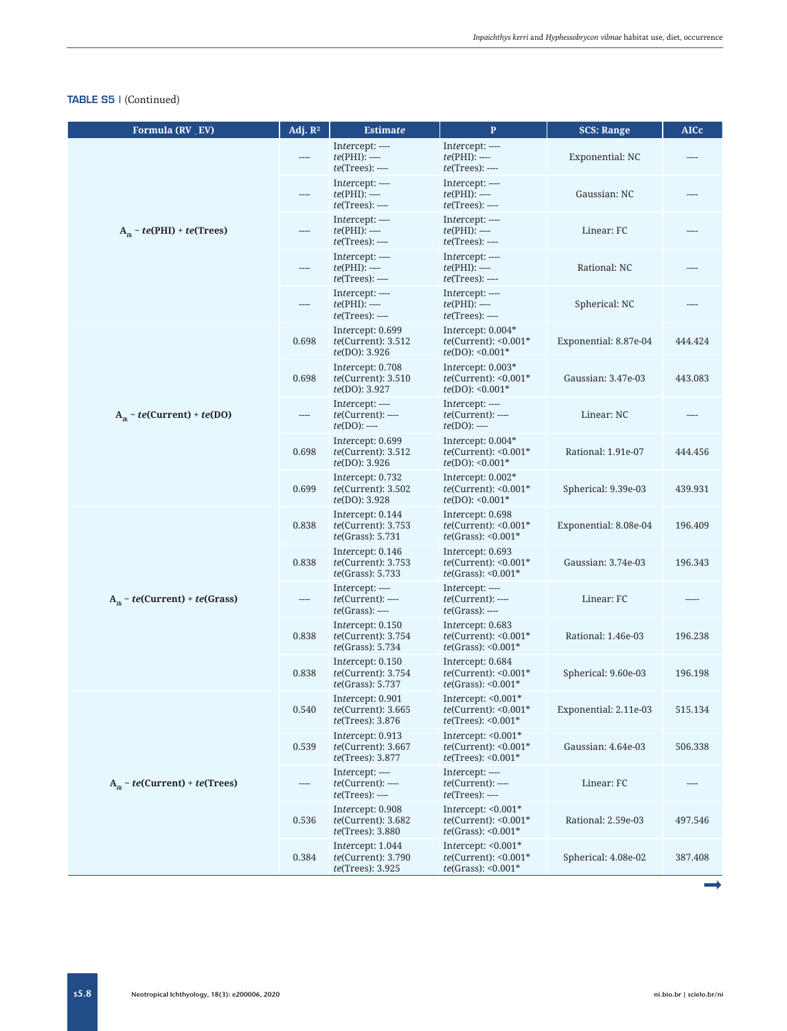| Formula (RV EV)                       | Adj. $\mathbb{R}^2$ | <b>Estimate</b>                                                            | $\mathbf{P}$                                                                    | <b>SCS: Range</b>     | <b>AICc</b> |
|---------------------------------------|---------------------|----------------------------------------------------------------------------|---------------------------------------------------------------------------------|-----------------------|-------------|
|                                       |                     | Intercept: ----<br>$te(PHI):$ ----<br>$te(Trees):$ ----                    | Intercept: ----<br>$te(PHI):$ ----<br><i>te</i> (Trees): ----                   | Exponential: NC       |             |
|                                       | ----                | Intercept: ----<br>$te(PHI):$ ----<br>$te(Trees):$ ----                    | Intercept: ----<br>$te(PHI):$ ----<br>$te(Trees):$ ----                         | Gaussian: NC          |             |
| $A_n \sim te(PHI) + te(Trees)$        | ----                | Intercept: ----<br>$te(PHI):$ ----<br>$te(Trees):$ ----                    | Intercept: ----<br>$te(PHI):$ ----<br>$te(Trees):$ ----                         | Linear: FC            |             |
|                                       | $-$ ---             | Intercept: ----<br>$te(PHI):$ ----<br>$te(Trees):$ ----                    | Intercept: ----<br>$te(PHI):$ ----<br>$te(Trees):$ ----                         | Rational: NC          |             |
|                                       | ----                | Intercept: ----<br>$te(PHI):$ ----<br>$te(Trees):$ ----                    | Intercept: ----<br>$te(PHI):$ ----<br>$te(Trees):$ ----                         | Spherical: NC         |             |
|                                       | 0.698               | Intercept: 0.699<br>$te$ (Current): 3.512<br><i>te</i> (DO): 3.926         | Intercept: $0.004*$<br>$te$ (Current): <0.001 $*$<br>$te(DO): <0.001*$          | Exponential: 8.87e-04 | 444.424     |
| $A_n \sim te(Current) + te(DO)$       | 0.698               | Intercept: 0.708<br>$te$ (Current): 3.510<br>te(DO): 3.927                 | Intercept: $0.003*$<br>$te$ (Current): <0.001 $*$<br>$te(DO): 0.001*$           | Gaussian: 3.47e-03    | 443.083     |
|                                       |                     | Intercept: ----<br>$te(Current):$ ----<br>$te(DO):$ ----                   | Intercept: ----<br>$te(Current):---$<br>$te(DO):$ ----                          | Linear: NC            |             |
|                                       | 0.698               | Intercept: 0.699<br>$te$ (Current): $3.512$<br><i>te</i> (DO): 3.926       | Intercept: $0.004*$<br>$te$ (Current): <0.001 $*$<br>$te(DO): 0.001*$           | Rational: 1.91e-07    | 444.456     |
|                                       | 0.699               | Intercept: 0.732<br>$te$ (Current): 3.502<br>te(DO): 3.928                 | Intercept: $0.002*$<br>$te$ (Current): < $0.001*$<br>$te(DO): 0.001*$           | Spherical: 9.39e-03   | 439.931     |
|                                       | 0.838               | Intercept: 0.144<br><i>te</i> (Current): 3.753<br>te(Grass): 5.731         | Intercept: 0.698<br>$te$ (Current): <0.001 $*$<br><i>te</i> (Grass): < $0.001*$ | Exponential: 8.08e-04 | 196.409     |
|                                       | 0.838               | Intercept: 0.146<br>te(Current): 3.753<br>te(Grass): 5.733                 | Intercept: 0.693<br>$te$ (Current): <0.001 $*$<br>$te(Grass): 0.001*$           | Gaussian: 3.74e-03    | 196.343     |
| $A_n \sim te(Current) + te(Grass)$    | ----                | Intercept: ----<br>$te(Current):---$<br>$te(Grass):$ ----                  | Intercept: ----<br>$te(Current):---$<br>$te(Grass):$ ----                       | Linear: FC            |             |
|                                       | 0.838               | Intercept: 0.150<br>$te$ (Current): 3.754<br>te(Grass): 5.734              | Intercept: 0.683<br>$te$ (Current): <0.001 $*$<br>$te(Grass): 0.001*$           | Rational: 1.46e-03    | 196.238     |
|                                       | 0.838               | Intercept: 0.150<br>te(Current): 3.754<br><i>te</i> (Grass): 5.737         | Intercept: 0.684<br>$te$ (Current): <0.001 $*$<br>$te(Grass): 0.001*$           | Spherical: 9.60e-03   | 196.198     |
|                                       | 0.540               | Intercept: 0.901<br>$te$ (Current): $3.665$<br>te(Trees): 3.876            | Intercept: $<0.001*$<br>$te(Current): <0.001*$<br>$te(Trees): <0.001*$          | Exponential: 2.11e-03 | 515.134     |
|                                       | 0.539               | Intercept: 0.913<br>$te$ (Current): $3.667$<br><i>te</i> (Trees): 3.877    | Intercept: <0.001*<br>$te$ (Current): < $0.001*$<br>$te(Trees): <0.001*$        | Gaussian: 4.64e-03    | 506.338     |
| $A_{ik} \sim te(Current) + te(Trees)$ | ----                | Intercept: ----<br>$te(Current):$ ----<br>$te(Trees):$ ----                | Intercept: ----<br>$te(Current):$ ----<br>$te(Trees):$ ----                     | Linear: FC            |             |
|                                       | 0.536               | Intercept: 0.908<br>te(Current): 3.682<br>te(Trees): 3.880                 | Intercept: <0.001*<br>$te$ (Current): < $0.001*$<br>$te(Grass):$ <0.001*        | Rational: 2.59e-03    | 497.546     |
|                                       | 0.384               | Intercept: 1.044<br><i>te</i> (Current): 3.790<br><i>te</i> (Trees): 3.925 | Intercept: $<0.001*$<br>$te$ (Current): < $0.001*$<br>$te(Grass): <0.001*$      | Spherical: 4.08e-02   | 387.408     |

Neotropical Ichthyology, 18(3): e200006, 2020 [ni.bio.br](http://ni.bio.br) | [scielo.br/ni](http://scielo.br/ni) s5.8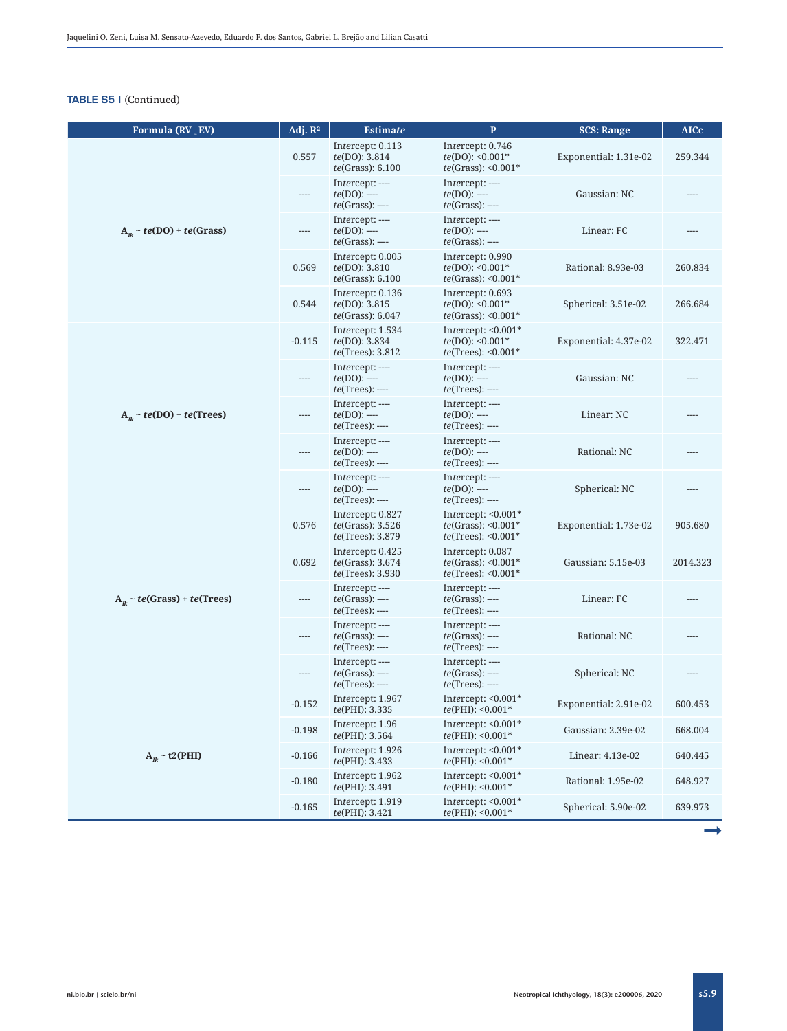| Formula (RV EV)                  | Adj. $R^2$ | <b>Estimate</b>                                                          | $\mathbf P$                                                                               | <b>SCS: Range</b>     | <b>AICc</b> |
|----------------------------------|------------|--------------------------------------------------------------------------|-------------------------------------------------------------------------------------------|-----------------------|-------------|
|                                  | 0.557      | Intercept: 0.113<br>te(DO): 3.814<br>te(Grass): 6.100                    | Intercept: 0.746<br>$te(DO): <0.001*$<br>$te(Grass): 0.001*$                              | Exponential: 1.31e-02 | 259.344     |
|                                  | ----       | Intercept: ----<br>$te(DO)$ : ----<br>$te(Grass):$ ----                  | Intercept: ----<br>$te(DO)$ : ----<br>$te(Grass):$ ----                                   | Gaussian: NC          | ----        |
| $A_{ik} \sim te(DO) + te(Grass)$ | $---$      | Intercept: ----<br>$te(DO)$ : ----<br><i>te</i> (Grass): ----            | Intercept: ----<br>$te(DO)$ : ----<br>$te(Grass):$ ----                                   | Linear: FC            | ----        |
|                                  | 0.569      | Intercept: 0.005<br><i>te</i> (DO): 3.810<br>te(Grass): 6.100            | Intercept: 0.990<br>$te(DO): 0.001*$<br>$te(Grass): 0.001*$                               | Rational: 8.93e-03    | 260.834     |
|                                  | 0.544      | Intercept: 0.136<br><i>te</i> (DO): 3.815<br>te(Grass): 6.047            | Intercept: 0.693<br>$te(DO): 0.001*$<br>$te(Grass): 0.001*$                               | Spherical: 3.51e-02   | 266.684     |
| $A_n \sim te(DO) + te(Trees)$    | $-0.115$   | Intercept: 1.534<br><i>te</i> (DO): 3.834<br><i>te</i> (Trees): 3.812    | Intercept: $<0.001*$<br>$te(DO): 0.001*$<br>$te(Trees): <0.001*$                          | Exponential: 4.37e-02 | 322.471     |
|                                  | ----       | Intercept: ----<br>$te(DO)$ : ----<br><i>te</i> (Trees): ----            | Intercept: ----<br>$te(DO)$ : ----<br>$te(Trees):$ ----                                   | Gaussian: NC          |             |
|                                  | ----       | Intercept: ----<br>$te(DO)$ : ----<br><i>te</i> (Trees): ----            | Intercept: ----<br>$te(DO):$ ----<br><i>te</i> (Trees): ----                              | Linear: NC            |             |
|                                  | ----       | Intercept: ----<br>$te(DO)$ : ----<br>$te(Trees): ---$                   | Intercept: ----<br>$te(DO):$ ----<br>$te(Trees):$ ----                                    | Rational: NC          |             |
|                                  | ----       | Intercept: ----<br>$te(DO)$ : ----<br>$te(Trees):$ ----                  | Intercept: ----<br>$te(DO)$ : ----<br><i>te</i> (Trees): ----                             | Spherical: NC         | ----        |
|                                  | 0.576      | Intercept: 0.827<br>te(Grass): 3.526<br><i>te</i> (Trees): 3.879         | Intercept: $< 0.001*$<br>$te(Grass): 0.001*$<br><i>te</i> (Trees): $< 0.001$ <sup>*</sup> | Exponential: 1.73e-02 | 905.680     |
|                                  | 0.692      | Intercept: 0.425<br><i>te</i> (Grass): 3.674<br><i>te</i> (Trees): 3.930 | Intercept: 0.087<br>$te(Grass): <0.001*$<br>$te(Trees): <0.001*$                          | Gaussian: 5.15e-03    | 2014.323    |
| $A_n \sim te(Grass) + te(Trees)$ | $---$      | Intercept: ----<br><i>te</i> (Grass): ----<br>$te(Trees): ---$           | Intercept: ----<br>$te(Grass):$ ----<br><i>te</i> (Trees): ----                           | Linear: FC            |             |
|                                  | ----       | Intercept: ----<br>$te(Grass):$ ----<br>$te(Trees):$ ----                | Intercept: ----<br>$te(Grass):$ ----<br><i>te</i> (Trees): ----                           | Rational: NC          |             |
|                                  | $---$      | Intercept: ----<br>$te(Grass):$ ----<br><i>te</i> (Trees): ----          | Intercept: ----<br>$te(Grass):$ ----<br>$te(Trees):$ ----                                 | Spherical: NC         | ----        |
|                                  | $-0.152$   | Intercept: 1.967<br>te(PHI): 3.335                                       | Intercept: $<0.001*$<br>$te(PHI): <0.001*$                                                | Exponential: 2.91e-02 | 600.453     |
|                                  | $-0.198$   | Intercept: 1.96<br>te(PHI): 3.564                                        | Intercept: $<0.001*$<br>$te(PHI): <0.001*$                                                | Gaussian: 2.39e-02    | 668.004     |
| $A_{ik} \sim t2(PHI)$            | $-0.166$   | Intercept: 1.926<br><i>te</i> (PHI): 3.433                               | Intercept: $<0.001*$<br>$te(PHI): <0.001*$                                                | Linear: 4.13e-02      | 640.445     |
|                                  | $-0.180$   | Intercept: 1.962<br>te(PHI): 3.491                                       | Intercept: $<0.001*$<br>$te(PHI): <0.001*$                                                | Rational: 1.95e-02    | 648.927     |
|                                  | $-0.165$   | Intercept: 1.919<br><i>te</i> (PHI): 3.421                               | Intercept: <0.001*<br>$te(PHI): <0.001*$                                                  | Spherical: 5.90e-02   | 639.973     |

ª

s5.9